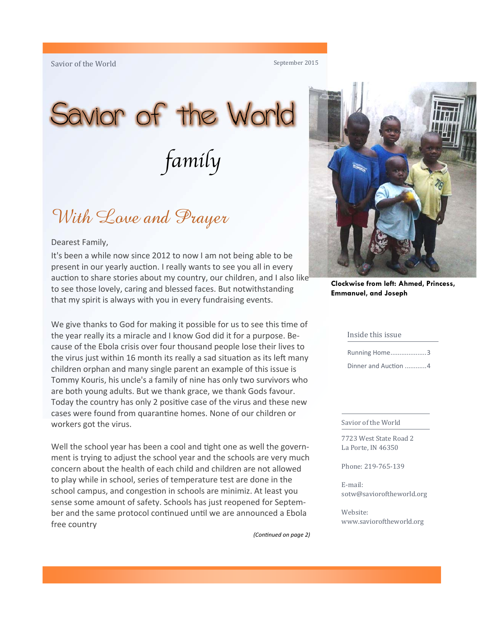#### September 2015

# Savior of the World family

### With Love and Prayer

#### Dearest Family,

It's been a while now since 2012 to now I am not being able to be present in our yearly auction. I really wants to see you all in every auction to share stories about my country, our children, and I also like to see those lovely, caring and blessed faces. But notwithstanding that my spirit is always with you in every fundraising events.

We give thanks to God for making it possible for us to see this time of the year really its a miracle and I know God did it for a purpose. Because of the Ebola crisis over four thousand people lose their lives to the virus just within 16 month its really a sad situation as its left many children orphan and many single parent an example of this issue is Tommy Kouris, his uncle's a family of nine has only two survivors who are both young adults. But we thank grace, we thank Gods favour. Today the country has only 2 positive case of the virus and these new cases were found from quarantine homes. None of our children or workers got the virus.

Well the school year has been a cool and tight one as well the government is trying to adjust the school year and the schools are very much concern about the health of each child and children are not allowed to play while in school, series of temperature test are done in the school campus, and congestion in schools are minimiz. At least you sense some amount of safety. Schools has just reopened for September and the same protocol continued until we are announced a Ebola free country

*(ConƟnued on page 2)* 



**Clockwise from left: Ahmed, Princess, Emmanuel, and Joseph** 

#### Inside this issue

| Running Home3        |  |
|----------------------|--|
| Dinner and Auction 4 |  |

#### Savior of the World

7723 West State Road 2 La Porte, IN 46350

Phone: 219‐765‐139 

E‐mail: sotw@savioroftheworld.org 

Website: www.savioroftheworld.org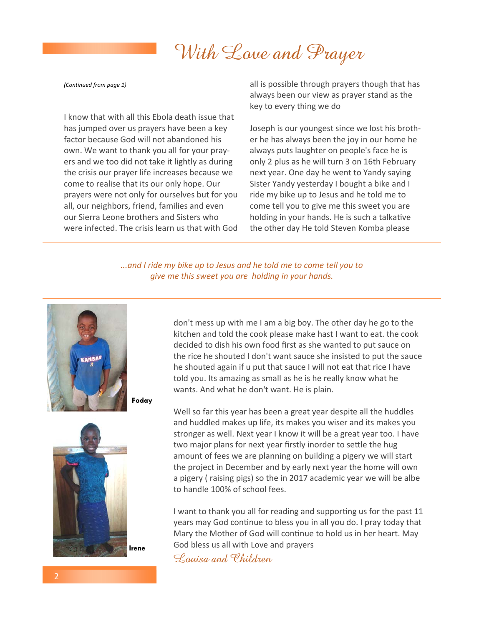# With Love and Prayer

*(ConƟnued from page 1)* 

I know that with all this Ebola death issue that has jumped over us prayers have been a key factor because God will not abandoned his own. We want to thank you all for your prayers and we too did not take it lightly as during the crisis our prayer life increases because we come to realise that its our only hope. Our prayers were not only for ourselves but for you all, our neighbors, friend, families and even our Sierra Leone brothers and Sisters who were infected. The crisis learn us that with God all is possible through prayers though that has always been our view as prayer stand as the key to every thing we do

Joseph is our youngest since we lost his brother he has always been the joy in our home he always puts laughter on people's face he is only 2 plus as he will turn 3 on 16th February next year. One day he went to Yandy saying Sister Yandy yesterday I bought a bike and I ride my bike up to Jesus and he told me to come tell you to give me this sweet you are holding in your hands. He is such a talkative the other day He told Steven Komba please

*...and I ride my bike up to Jesus and he told me to come tell you to give me this sweet you are holding in your hands.*





don't mess up with me I am a big boy. The other day he go to the kitchen and told the cook please make hast I want to eat. the cook decided to dish his own food first as she wanted to put sauce on the rice he shouted I don't want sauce she insisted to put the sauce he shouted again if u put that sauce I will not eat that rice I have told you. Its amazing as small as he is he really know what he wants. And what he don't want. He is plain.

Well so far this year has been a great year despite all the huddles and huddled makes up life, its makes you wiser and its makes you stronger as well. Next year I know it will be a great year too. I have two major plans for next year firstly inorder to settle the hug amount of fees we are planning on building a pigery we will start the project in December and by early next year the home will own a pigery ( raising pigs) so the in 2017 academic year we will be albe to handle 100% of school fees.

I want to thank you all for reading and supporting us for the past 11 years may God continue to bless you in all you do. I pray today that Mary the Mother of God will continue to hold us in her heart. May God bless us all with Love and prayers

Louisa and Children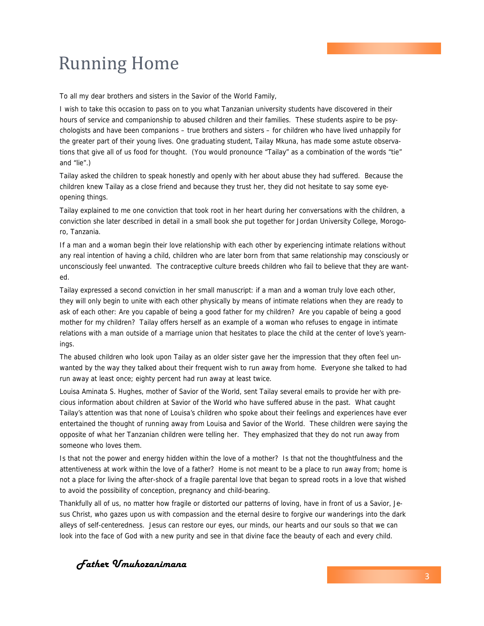## **Running Home**

To all my dear brothers and sisters in the Savior of the World Family,

I wish to take this occasion to pass on to you what Tanzanian university students have discovered in their hours of service and companionship to abused children and their families. These students aspire to be psychologists and have been companions – true brothers and sisters – for children who have lived unhappily for the greater part of their young lives. One graduating student, Tailay Mkuna, has made some astute observations that give all of us food for thought. (You would pronounce "Tailay" as a combination of the words "tie" and "lie".)

Tailay asked the children to speak honestly and openly with her about abuse they had suffered. Because the children knew Tailay as a close friend and because they trust her, they did not hesitate to say some eyeopening things.

Tailay explained to me one conviction that took root in her heart during her conversations with the children, a conviction she later described in detail in a small book she put together for Jordan University College, Morogoro, Tanzania.

If a man and a woman begin their love relationship with each other by experiencing intimate relations without any real intention of having a child, children who are later born from that same relationship may consciously or unconsciously feel unwanted. The contraceptive culture breeds children who fail to believe that they are wanted.

Tailay expressed a second conviction in her small manuscript: if a man and a woman truly love each other, they will only begin to unite with each other physically by means of intimate relations when they are ready to ask of each other: Are you capable of being a good father for my children? Are you capable of being a good mother for my children? Tailay offers herself as an example of a woman who refuses to engage in intimate relations with a man outside of a marriage union that hesitates to place the child at the center of love's yearnings.

The abused children who look upon Tailay as an older sister gave her the impression that they often feel unwanted by the way they talked about their frequent wish to run away from home. Everyone she talked to had run away at least once; eighty percent had run away at least twice.

Louisa Aminata S. Hughes, mother of Savior of the World, sent Tailay several emails to provide her with precious information about children at Savior of the World who have suffered abuse in the past. What caught Tailay's attention was that none of Louisa's children who spoke about their feelings and experiences have ever entertained the thought of running away from Louisa and Savior of the World. These children were saying the opposite of what her Tanzanian children were telling her. They emphasized that they do not run away from someone who loves them.

Is that not the power and energy hidden within the love of a mother? Is that not the thoughtfulness and the attentiveness at work within the love of a father? Home is not meant to be a place to run away from; home is not a place for living the after-shock of a fragile parental love that began to spread roots in a love that wished to avoid the possibility of conception, pregnancy and child-bearing.

Thankfully all of us, no matter how fragile or distorted our patterns of loving, have in front of us a Savior, Jesus Christ, who gazes upon us with compassion and the eternal desire to forgive our wanderings into the dark alleys of self-centeredness. Jesus can restore our eyes, our minds, our hearts and our souls so that we can look into the face of God with a new purity and see in that divine face the beauty of each and every child.

*Father Umuhozanimana*